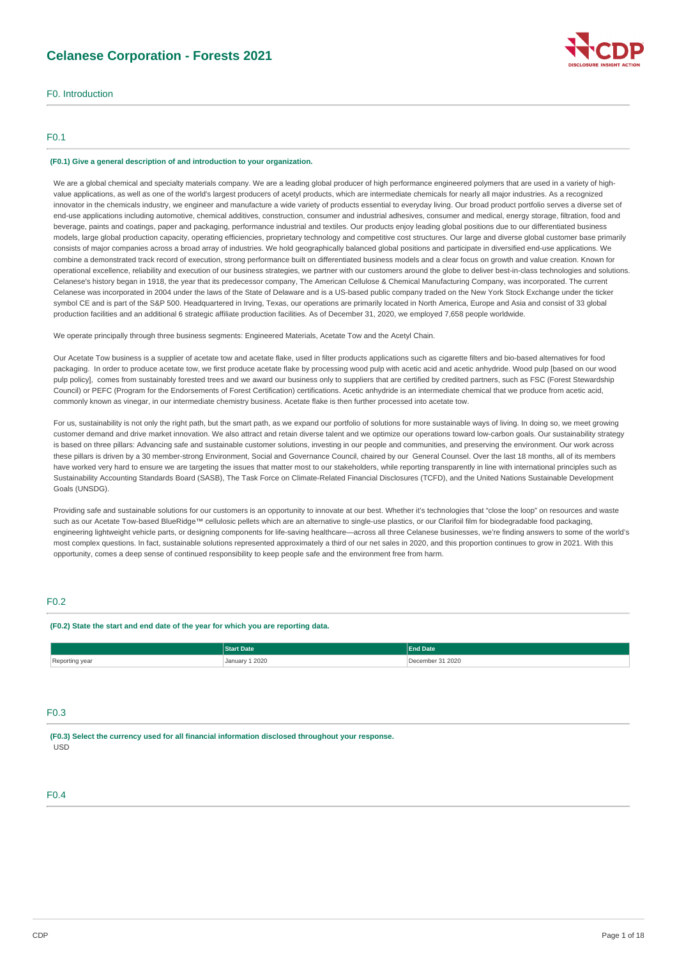# **Celanese Corporation - Forests 2021**



# F0. Introduction

### F0.1

### **(F0.1) Give a general description of and introduction to your organization.**

We are a global chemical and specialty materials company. We are a leading global producer of high performance engineered polymers that are used in a variety of highvalue applications, as well as one of the world's largest producers of acetyl products, which are intermediate chemicals for nearly all major industries. As a recognized innovator in the chemicals industry, we engineer and manufacture a wide variety of products essential to everyday living. Our broad product portfolio serves a diverse set of end-use applications including automotive, chemical additives, construction, consumer and industrial adhesives, consumer and medical, energy storage, filtration, food and beverage, paints and coatings, paper and packaging, performance industrial and textiles. Our products enjoy leading global positions due to our differentiated business models, large global production capacity, operating efficiencies, proprietary technology and competitive cost structures. Our large and diverse global customer base primarily consists of major companies across a broad array of industries. We hold geographically balanced global positions and participate in diversified end-use applications. We combine a demonstrated track record of execution, strong performance built on differentiated business models and a clear focus on growth and value creation. Known for operational excellence, reliability and execution of our business strategies, we partner with our customers around the globe to deliver best-in-class technologies and solutions. Celanese's history began in 1918, the year that its predecessor company, The American Cellulose & Chemical Manufacturing Company, was incorporated. The current Celanese was incorporated in 2004 under the laws of the State of Delaware and is a US-based public company traded on the New York Stock Exchange under the ticker symbol CE and is part of the S&P 500. Headquartered in Irving, Texas, our operations are primarily located in North America, Europe and Asia and consist of 33 global production facilities and an additional 6 strategic affiliate production facilities. As of December 31, 2020, we employed 7,658 people worldwide.

We operate principally through three business segments: Engineered Materials, Acetate Tow and the Acetyl Chain.

Our Acetate Tow business is a supplier of acetate tow and acetate flake, used in filter products applications such as cigarette filters and bio-based alternatives for food packaging. In order to produce acetate tow, we first produce acetate flake by processing wood pulp with acetic acid and acetic anhydride. Wood pulp [based on our wood pulp policy], comes from sustainably forested trees and we award our business only to suppliers that are certified by credited partners, such as FSC (Forest Stewardship Council) or PEFC (Program for the Endorsements of Forest Certification) certifications. Acetic anhydride is an intermediate chemical that we produce from acetic acid, commonly known as vinegar, in our intermediate chemistry business. Acetate flake is then further processed into acetate tow.

For us, sustainability is not only the right path, but the smart path, as we expand our portfolio of solutions for more sustainable ways of living. In doing so, we meet growing customer demand and drive market innovation. We also attract and retain diverse talent and we optimize our operations toward low-carbon goals. Our sustainability strategy is based on three pillars: Advancing safe and sustainable customer solutions, investing in our people and communities, and preserving the environment. Our work across these pillars is driven by a 30 member-strong Environment, Social and Governance Council, chaired by our General Counsel. Over the last 18 months, all of its members have worked very hard to ensure we are targeting the issues that matter most to our stakeholders, while reporting transparently in line with international principles such as Sustainability Accounting Standards Board (SASB), The Task Force on Climate-Related Financial Disclosures (TCFD), and the United Nations Sustainable Development Goals (UNSDG).

Providing safe and sustainable solutions for our customers is an opportunity to innovate at our best. Whether it's technologies that "close the loop" on resources and waste such as our Acetate Tow-based BlueRidge™ cellulosic pellets which are an alternative to single-use plastics, or our Clarifoil film for biodegradable food packaging engineering lightweight vehicle parts, or designing components for life-saving healthcare—across all three Celanese businesses, we're finding answers to some of the world's most complex questions. In fact, sustainable solutions represented approximately a third of our net sales in 2020, and this proportion continues to grow in 2021. With this opportunity, comes a deep sense of continued responsibility to keep people safe and the environment free from harm.

### F0.2

### **(F0.2) State the start and end date of the year for which you are reporting data.**

|                | <b>Start Date</b> | <b>End Date</b>  |
|----------------|-------------------|------------------|
| Reporting year | January 1 2020    | December 31 2020 |

### F0.3

**(F0.3) Select the currency used for all financial information disclosed throughout your response.** USD

### F0.4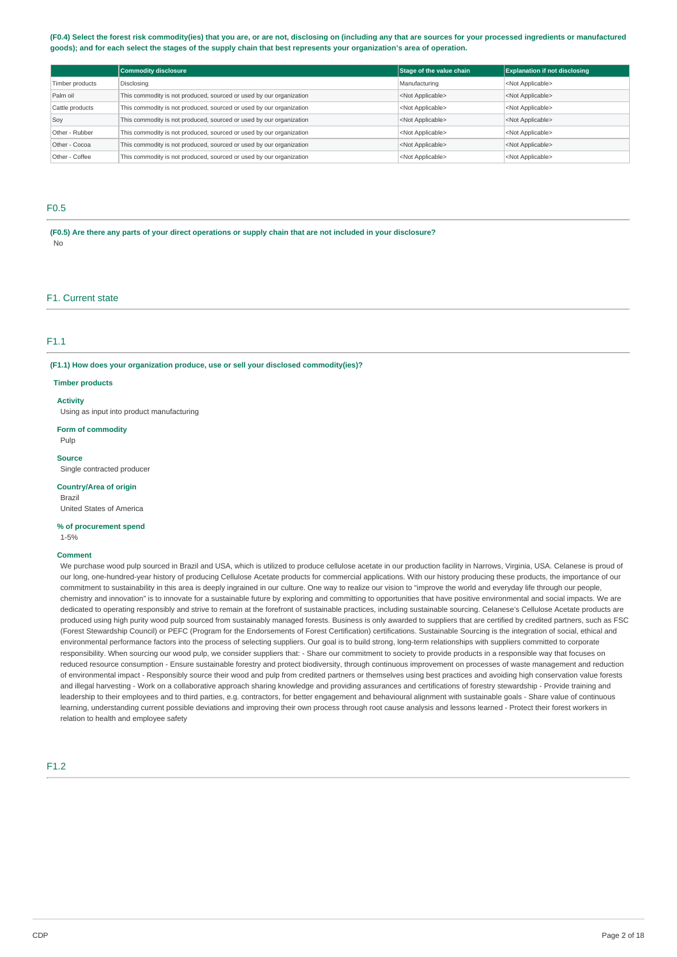### (F0.4) Select the forest risk commodity(ies) that you are, or are not, disclosing on (including any that are sources for your processed ingredients or manufactured goods); and for each select the stages of the supply chain that best represents your organization's area of operation.

|                 | <b>Commodity disclosure</b>                                         | Stage of the value chain  | <b>Explanation if not disclosing</b> |
|-----------------|---------------------------------------------------------------------|---------------------------|--------------------------------------|
| Timber products | Disclosing                                                          | Manufacturing             | <not applicable=""></not>            |
| Palm oil        | This commodity is not produced, sourced or used by our organization | <not applicable=""></not> | <not applicable=""></not>            |
| Cattle products | This commodity is not produced, sourced or used by our organization | <not applicable=""></not> | <not applicable=""></not>            |
| Soy             | This commodity is not produced, sourced or used by our organization | <not applicable=""></not> | <not applicable=""></not>            |
| Other - Rubber  | This commodity is not produced, sourced or used by our organization | <not applicable=""></not> | <not applicable=""></not>            |
| Other - Cocoa   | This commodity is not produced, sourced or used by our organization | <not applicable=""></not> | <not applicable=""></not>            |
| Other - Coffee  | This commodity is not produced, sourced or used by our organization | <not applicable=""></not> | <not applicable=""></not>            |

# F0.5

(F0.5) Are there any parts of your direct operations or supply chain that are not included in your disclosure? No

### F1. Current state

### F1.1

**(F1.1) How does your organization produce, use or sell your disclosed commodity(ies)?**

### **Timber products**

#### **Activity**

Using as input into product manufacturing

#### **Form of commodity**

Pulp

#### **Source**

Single contracted producer

#### **Country/Area of origin**

Brazil United States of America

### **% of procurement spend**

1-5%

### **Comment**

We purchase wood pulp sourced in Brazil and USA, which is utilized to produce cellulose acetate in our production facility in Narrows, Virginia, USA, Celanese is proud of our long, one-hundred-year history of producing Cellulose Acetate products for commercial applications. With our history producing these products, the importance of our commitment to sustainability in this area is deeply ingrained in our culture. One way to realize our vision to "improve the world and everyday life through our people, chemistry and innovation" is to innovate for a sustainable future by exploring and committing to opportunities that have positive environmental and social impacts. We are dedicated to operating responsibly and strive to remain at the forefront of sustainable practices, including sustainable sourcing. Celanese's Cellulose Acetate products are produced using high purity wood pulp sourced from sustainably managed forests. Business is only awarded to suppliers that are certified by credited partners, such as FSC (Forest Stewardship Council) or PEFC (Program for the Endorsements of Forest Certification) certifications. Sustainable Sourcing is the integration of social, ethical and environmental performance factors into the process of selecting suppliers. Our goal is to build strong, long-term relationships with suppliers committed to corporate responsibility. When sourcing our wood pulp, we consider suppliers that: - Share our commitment to society to provide products in a responsible way that focuses on reduced resource consumption - Ensure sustainable forestry and protect biodiversity, through continuous improvement on processes of waste management and reduction of environmental impact - Responsibly source their wood and pulp from credited partners or themselves using best practices and avoiding high conservation value forests and illegal harvesting - Work on a collaborative approach sharing knowledge and providing assurances and certifications of forestry stewardship - Provide training and leadership to their employees and to third parties, e.g. contractors, for better engagement and behavioural alignment with sustainable goals - Share value of continuous learning, understanding current possible deviations and improving their own process through root cause analysis and lessons learned - Protect their forest workers in relation to health and employee safety

# F1.2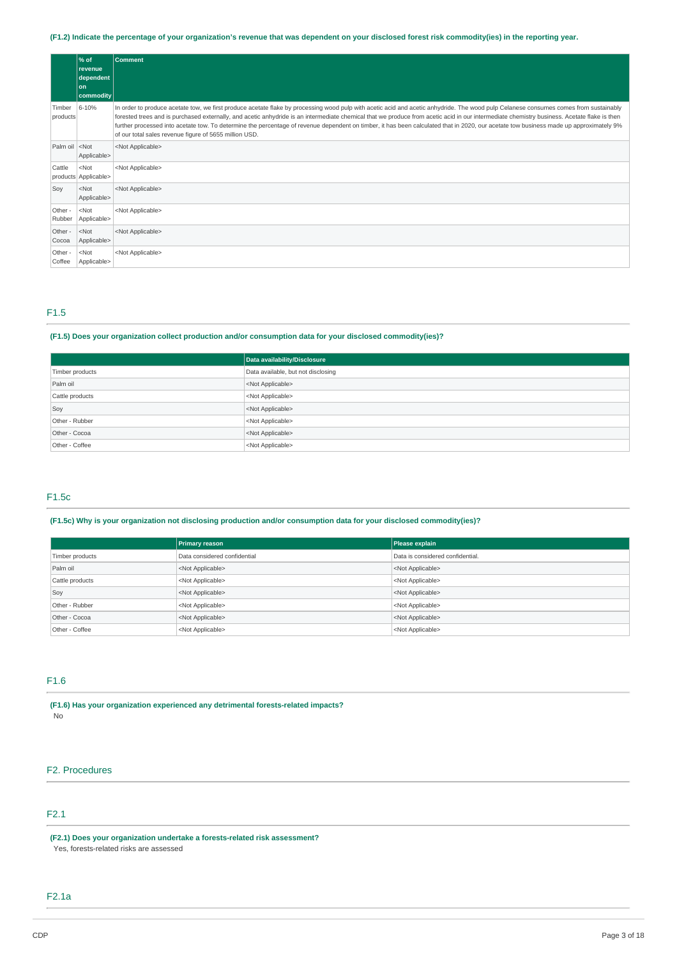### (F1.2) Indicate the percentage of your organization's revenue that was dependent on your disclosed forest risk commodity(ies) in the reporting year.

|                                                                                       | % of<br>revenue<br>dependent<br>l on<br>commodity | <b>Comment</b>                                                                                                                                                                                                                                                                                                                                                                                                                                                                                                                                                                                                                           |
|---------------------------------------------------------------------------------------|---------------------------------------------------|------------------------------------------------------------------------------------------------------------------------------------------------------------------------------------------------------------------------------------------------------------------------------------------------------------------------------------------------------------------------------------------------------------------------------------------------------------------------------------------------------------------------------------------------------------------------------------------------------------------------------------------|
| Timber<br>products                                                                    | 6-10%                                             | In order to produce acetate tow, we first produce acetate flake by processing wood pulp with acetic acid and acetic anhydride. The wood pulp Celanese consumes comes from sustainably<br>forested trees and is purchased externally, and acetic anhydride is an intermediate chemical that we produce from acetic acid in our intermediate chemistry business. Acetate flake is then<br>further processed into acetate tow. To determine the percentage of revenue dependent on timber, it has been calculated that in 2020, our acetate tow business made up approximately 9%<br>of our total sales revenue figure of 5655 million USD. |
| Palm oil <not< td=""><td>Applicable&gt;</td><td><not applicable=""></not></td></not<> | Applicable>                                       | <not applicable=""></not>                                                                                                                                                                                                                                                                                                                                                                                                                                                                                                                                                                                                                |
| Cattle                                                                                | $<$ Not<br>products Applicable>                   | <not applicable=""></not>                                                                                                                                                                                                                                                                                                                                                                                                                                                                                                                                                                                                                |
| Soy                                                                                   | $<$ Not<br>Applicable>                            | <not applicable=""></not>                                                                                                                                                                                                                                                                                                                                                                                                                                                                                                                                                                                                                |
| Other -<br>Rubber                                                                     | $<$ Not<br>Applicable>                            | <not applicable=""></not>                                                                                                                                                                                                                                                                                                                                                                                                                                                                                                                                                                                                                |
| Other -<br>Cocoa                                                                      | $<$ Not<br>Applicable>                            | <not applicable=""></not>                                                                                                                                                                                                                                                                                                                                                                                                                                                                                                                                                                                                                |
| Other -<br>Coffee                                                                     | $<$ Not<br>Applicable>                            | <not applicable=""></not>                                                                                                                                                                                                                                                                                                                                                                                                                                                                                                                                                                                                                |

# F1.5

### **(F1.5) Does your organization collect production and/or consumption data for your disclosed commodity(ies)?**

|                 | Data availability/Disclosure       |  |
|-----------------|------------------------------------|--|
| Timber products | Data available, but not disclosing |  |
| Palm oil        | <not applicable=""></not>          |  |
| Cattle products | <not applicable=""></not>          |  |
| Soy             | <not applicable=""></not>          |  |
| Other - Rubber  | <not applicable=""></not>          |  |
| Other - Cocoa   | <not applicable=""></not>          |  |
| Other - Coffee  | <not applicable=""></not>          |  |

### F1.5c

### **(F1.5c) Why is your organization not disclosing production and/or consumption data for your disclosed commodity(ies)?**

|                 | <b>Primary reason</b>        | Please explain                   |
|-----------------|------------------------------|----------------------------------|
| Timber products | Data considered confidential | Data is considered confidential. |
| Palm oil        | <not applicable=""></not>    | <not applicable=""></not>        |
| Cattle products | <not applicable=""></not>    | <not applicable=""></not>        |
| Soy             | <not applicable=""></not>    | <not applicable=""></not>        |
| Other - Rubber  | <not applicable=""></not>    | <not applicable=""></not>        |
| Other - Cocoa   | <not applicable=""></not>    | <not applicable=""></not>        |
| Other - Coffee  | <not applicable=""></not>    | <not applicable=""></not>        |

# F1.6

**(F1.6) Has your organization experienced any detrimental forests-related impacts?** No

# F2. Procedures

# F2.1

**(F2.1) Does your organization undertake a forests-related risk assessment?**

Yes, forests-related risks are assessed

# F2.1a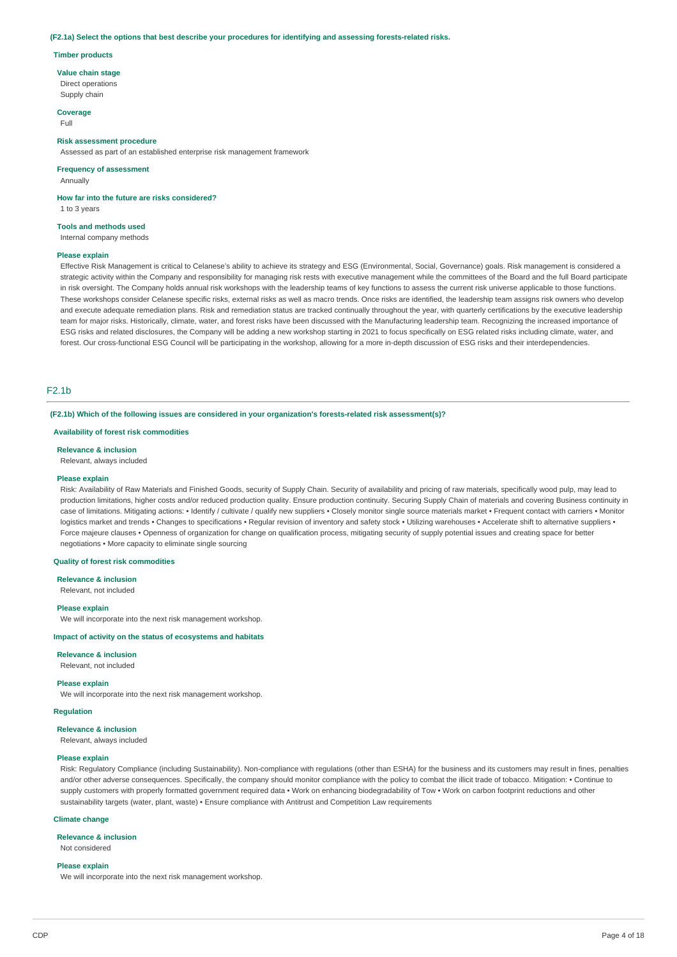#### **(F2.1a) Select the options that best describe your procedures for identifying and assessing forests-related risks.**

#### **Timber products**

**Value chain stage**

Direct operations Supply chain

**Coverage**

Full

### **Risk assessment procedure**

Assessed as part of an established enterprise risk management framework

### **Frequency of assessment**

Annually

**How far into the future are risks considered?**

1 to 3 years

#### **Tools and methods used**

Internal company methods

### **Please explain**

Effective Risk Management is critical to Celanese's ability to achieve its strategy and ESG (Environmental, Social, Governance) goals. Risk management is considered a strategic activity within the Company and responsibility for managing risk rests with executive management while the committees of the Board and the full Board participate in risk oversight. The Company holds annual risk workshops with the leadership teams of key functions to assess the current risk universe applicable to those functions. These workshops consider Celanese specific risks, external risks as well as macro trends. Once risks are identified, the leadership team assigns risk owners who develop and execute adequate remediation plans. Risk and remediation status are tracked continually throughout the year, with quarterly certifications by the executive leadership team for major risks. Historically, climate, water, and forest risks have been discussed with the Manufacturing leadership team. Recognizing the increased importance of ESG risks and related disclosures, the Company will be adding a new workshop starting in 2021 to focus specifically on ESG related risks including climate, water, and forest. Our cross-functional ESG Council will be participating in the workshop, allowing for a more in-depth discussion of ESG risks and their interdependencies.

### F2.1b

#### **(F2.1b) Which of the following issues are considered in your organization's forests-related risk assessment(s)?**

**Availability of forest risk commodities**

#### **Relevance & inclusion**

Relevant, always included

#### **Please explain**

Risk: Availability of Raw Materials and Finished Goods, security of Supply Chain. Security of availability and pricing of raw materials, specifically wood pulp, may lead to production limitations, higher costs and/or reduced production quality. Ensure production continuity. Securing Supply Chain of materials and covering Business continuity in case of limitations. Mitigating actions: • Identify / cultivate / qualify new suppliers • Closely monitor single source materials market • Frequent contact with carriers • Monitor logistics market and trends • Changes to specifications • Regular revision of inventory and safety stock • Utilizing warehouses • Accelerate shift to alternative suppliers • Force majeure clauses • Openness of organization for change on qualification process, mitigating security of supply potential issues and creating space for better negotiations • More capacity to eliminate single sourcing

#### **Quality of forest risk commodities**

**Relevance & inclusion**

Relevant, not included

#### **Please explain**

We will incorporate into the next risk management workshop.

#### **Impact of activity on the status of ecosystems and habitats**

#### **Relevance & inclusion**

Relevant, not included

#### **Please explain**

We will incorporate into the next risk management workshop.

### **Regulation**

### **Relevance & inclusion**

Relevant, always included

#### **Please explain**

Risk: Regulatory Compliance (including Sustainability). Non-compliance with regulations (other than ESHA) for the business and its customers may result in fines, penalties and/or other adverse consequences. Specifically, the company should monitor compliance with the policy to combat the illicit trade of tobacco. Mitigation: • Continue to supply customers with properly formatted government required data • Work on enhancing biodegradability of Tow • Work on carbon footprint reductions and other sustainability targets (water, plant, waste) • Ensure compliance with Antitrust and Competition Law requirements

#### **Climate change**

**Relevance & inclusion**

Not considered

#### **Please explain**

We will incorporate into the next risk management workshop.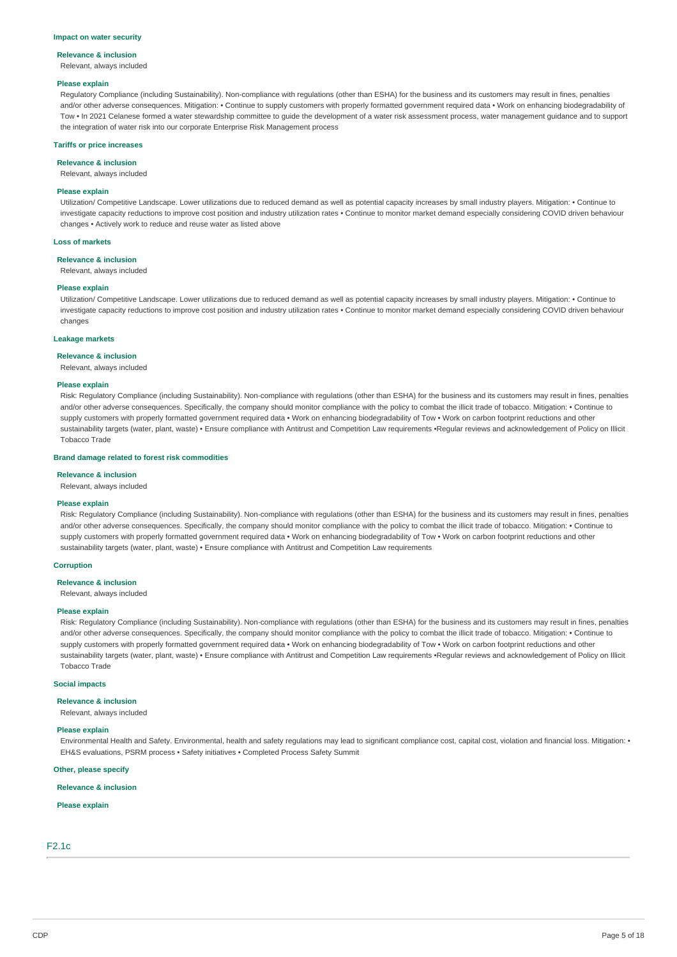#### **Impact on water security**

#### **Relevance & inclusion**

Relevant, always included

#### **Please explain**

Regulatory Compliance (including Sustainability). Non-compliance with regulations (other than ESHA) for the business and its customers may result in fines, penalties and/or other adverse consequences. Mitigation: • Continue to supply customers with properly formatted government required data • Work on enhancing biodegradability of Tow • In 2021 Celanese formed a water stewardship committee to guide the development of a water risk assessment process, water management guidance and to support the integration of water risk into our corporate Enterprise Risk Management process

#### **Tariffs or price increases**

**Relevance & inclusion**

Relevant, always included

### **Please explain**

Utilization/ Competitive Landscape. Lower utilizations due to reduced demand as well as potential capacity increases by small industry players. Mitigation: • Continue to investigate capacity reductions to improve cost position and industry utilization rates • Continue to monitor market demand especially considering COVID driven behaviour changes • Actively work to reduce and reuse water as listed above

### **Loss of markets**

**Relevance & inclusion**

Relevant, always included

#### **Please explain**

Utilization/ Competitive Landscape. Lower utilizations due to reduced demand as well as potential capacity increases by small industry players. Mitigation: • Continue to investigate capacity reductions to improve cost position and industry utilization rates • Continue to monitor market demand especially considering COVID driven behaviour changes

#### **Leakage markets**

#### **Relevance & inclusion**

Relevant, always included

#### **Please explain**

Risk: Regulatory Compliance (including Sustainability). Non-compliance with regulations (other than ESHA) for the business and its customers may result in fines, penalties and/or other adverse consequences. Specifically, the company should monitor compliance with the policy to combat the illicit trade of tobacco. Mitigation: • Continue to supply customers with properly formatted government required data • Work on enhancing biodegradability of Tow • Work on carbon footprint reductions and other sustainability targets (water, plant, waste) • Ensure compliance with Antitrust and Competition Law requirements •Regular reviews and acknowledgement of Policy on Illicit Tobacco Trade

#### **Brand damage related to forest risk commodities**

#### **Relevance & inclusion**

Relevant, always included

#### **Please explain**

Risk: Regulatory Compliance (including Sustainability). Non-compliance with regulations (other than ESHA) for the business and its customers may result in fines, penalties and/or other adverse consequences. Specifically, the company should monitor compliance with the policy to combat the illicit trade of tobacco. Mitigation: • Continue to supply customers with properly formatted government required data • Work on enhancing biodegradability of Tow • Work on carbon footprint reductions and other sustainability targets (water, plant, waste) • Ensure compliance with Antitrust and Competition Law requirements

### **Corruption**

**Relevance & inclusion**

Relevant, always included

#### **Please explain**

Risk: Regulatory Compliance (including Sustainability). Non-compliance with regulations (other than ESHA) for the business and its customers may result in fines, penalties and/or other adverse consequences. Specifically, the company should monitor compliance with the policy to combat the illicit trade of tobacco. Mitigation: • Continue to supply customers with properly formatted government required data · Work on enhancing biodegradability of Tow · Work on carbon footprint reductions and other sustainability targets (water, plant, waste) • Ensure compliance with Antitrust and Competition Law requirements •Regular reviews and acknowledgement of Policy on Illicit Tobacco Trade

#### **Social impacts**

**Relevance & inclusion**

### Relevant, always included

### **Please explain**

Environmental Health and Safety. Environmental, health and safety regulations may lead to significant compliance cost, capital cost, violation and financial loss. Mitigation: • EH&S evaluations, PSRM process • Safety initiatives • Completed Process Safety Summit

#### **Other, please specify**

### **Relevance & inclusion**

#### **Please explain**

# F2.1c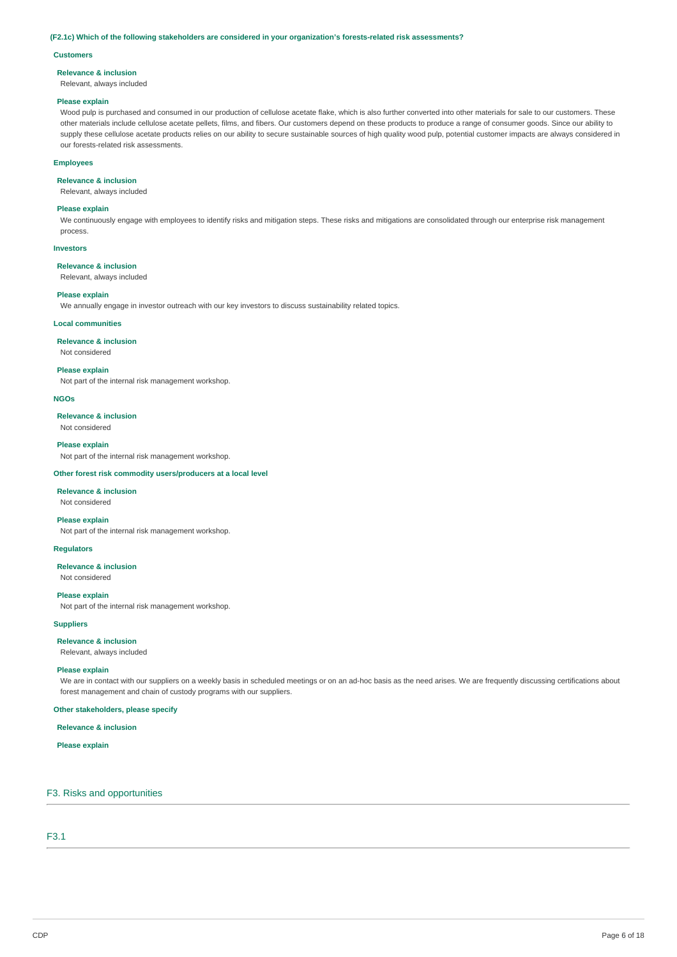#### **(F2.1c) Which of the following stakeholders are considered in your organization's forests-related risk assessments?**

### **Customers**

#### **Relevance & inclusion**

Relevant, always included

#### **Please explain**

Wood pulp is purchased and consumed in our production of cellulose acetate flake, which is also further converted into other materials for sale to our customers. These other materials include cellulose acetate pellets, films, and fibers. Our customers depend on these products to produce a range of consumer goods. Since our ability to supply these cellulose acetate products relies on our ability to secure sustainable sources of high quality wood pulp, potential customer impacts are always considered in our forests-related risk assessments.

### **Employees**

**Relevance & inclusion**

Relevant, always included

#### **Please explain**

We continuously engage with employees to identify risks and mitigation steps. These risks and mitigations are consolidated through our enterprise risk management process.

#### **Investors**

**Relevance & inclusion**

Relevant, always included

#### **Please explain**

We annually engage in investor outreach with our key investors to discuss sustainability related topics.

### **Local communities**

**Relevance & inclusion**

#### Not considered

**Please explain**

Not part of the internal risk management workshop.

#### **NGOs**

**Relevance & inclusion** Not considered

#### **Please explain**

Not part of the internal risk management workshop.

#### **Other forest risk commodity users/producers at a local level**

### **Relevance & inclusion**

Not considered

### **Please explain**

Not part of the internal risk management workshop.

# **Regulators**

**Relevance & inclusion**

Not considered

### **Please explain**

Not part of the internal risk management workshop.

#### **Suppliers**

**Relevance & inclusion**

### Relevant, always included

#### **Please explain**

We are in contact with our suppliers on a weekly basis in scheduled meetings or on an ad-hoc basis as the need arises. We are frequently discussing certifications about forest management and chain of custody programs with our suppliers.

# **Other stakeholders, please specify**

### **Relevance & inclusion**

**Please explain**

### F3. Risks and opportunities

### F3.1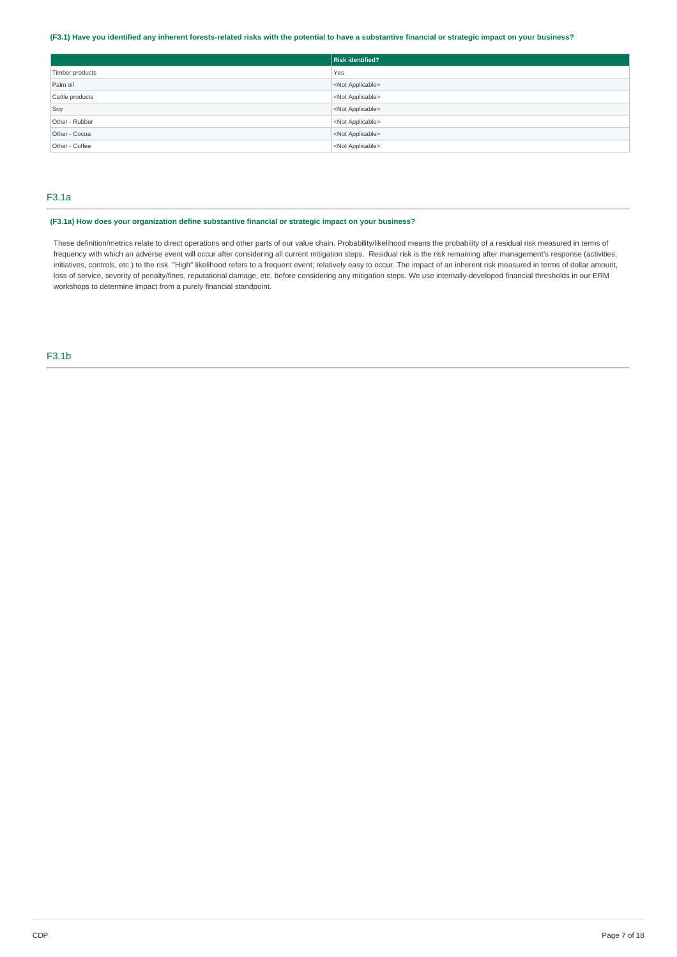### (F3.1) Have you identified any inherent forests-related risks with the potential to have a substantive financial or strategic impact on your business?

|                 | <b>Risk identified?</b>   |
|-----------------|---------------------------|
| Timber products | Yes                       |
| Palm oil        | <not applicable=""></not> |
| Cattle products | <not applicable=""></not> |
| Soy             | <not applicable=""></not> |
| Other - Rubber  | <not applicable=""></not> |
| Other - Cocoa   | <not applicable=""></not> |
| Other - Coffee  | <not applicable=""></not> |

# F3.1a

### **(F3.1a) How does your organization define substantive financial or strategic impact on your business?**

These definition/metrics relate to direct operations and other parts of our value chain. Probability/likelihood means the probability of a residual risk measured in terms of frequency with which an adverse event will occur after considering all current mitigation steps. Residual risk is the risk remaining after management's response (activities, initiatives, controls, etc.) to the risk. "High" likelihood refers to a frequent event; relatively easy to occur. The impact of an inherent risk measured in terms of dollar amount, loss of service, severity of penalty/fines, reputational damage, etc. before considering any mitigation steps. We use internally-developed financial thresholds in our ERM workshops to determine impact from a purely financial standpoint.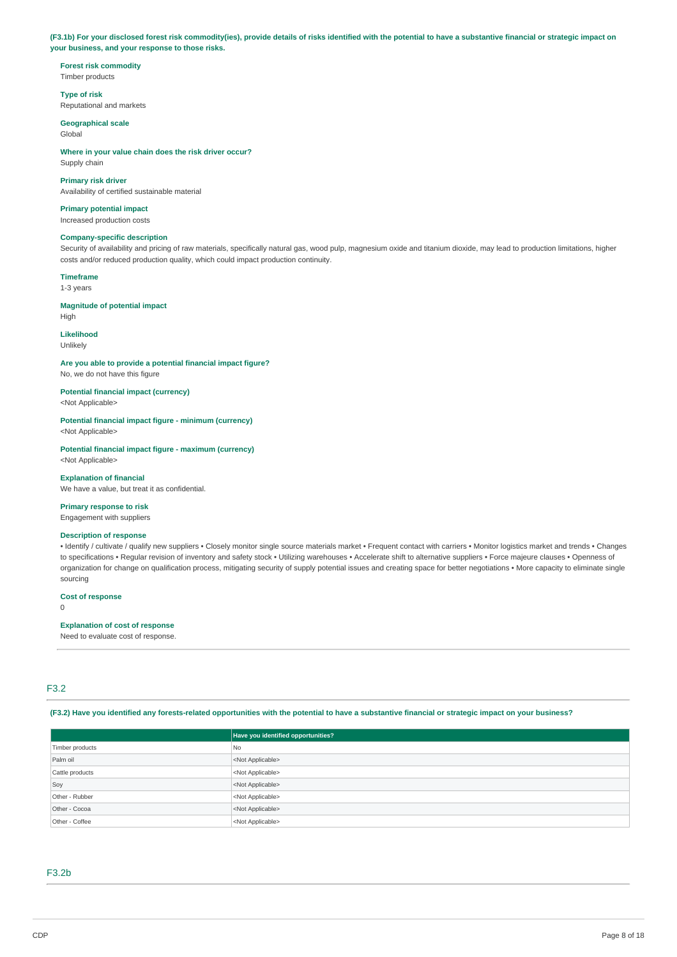(F3.1b) For your disclosed forest risk commodity(ies), provide details of risks identified with the potential to have a substantive financial or strategic impact on **your business, and your response to those risks.**

**Forest risk commodity** Timber products

**Type of risk** Reputational and markets

**Geographical scale** Global

**Where in your value chain does the risk driver occur?** Supply chain

**Primary risk driver** Availability of certified sustainable material

**Primary potential impact** Increased production costs

### **Company-specific description**

Security of availability and pricing of raw materials, specifically natural gas, wood pulp, magnesium oxide and titanium dioxide, may lead to production limitations, higher costs and/or reduced production quality, which could impact production continuity.

**Timeframe** 1-3 years

**Magnitude of potential impact** High

### **Likelihood**

Unlikely

**Are you able to provide a potential financial impact figure?** No, we do not have this figure

**Potential financial impact (currency)** <Not Applicable>

**Potential financial impact figure - minimum (currency)** <Not Applicable>

**Potential financial impact figure - maximum (currency)** <Not Applicable>

# **Explanation of financial**

We have a value, but treat it as confidential

### **Primary response to risk** Engagement with suppliers

# **Description of response**

• Identify / cultivate / qualify new suppliers • Closely monitor single source materials market • Frequent contact with carriers • Monitor logistics market and trends • Changes to specifications • Regular revision of inventory and safety stock • Utilizing warehouses • Accelerate shift to alternative suppliers • Force majeure clauses • Openness of organization for change on qualification process, mitigating security of supply potential issues and creating space for better negotiations • More capacity to eliminate single sourcing

**Cost of response**

 $\Omega$ 

# **Explanation of cost of response**

Need to evaluate cost of response.

# F3.2

(F3.2) Have you identified any forests-related opportunities with the potential to have a substantive financial or strategic impact on your business?

|                 | Have you identified opportunities? |  |  |
|-----------------|------------------------------------|--|--|
| Timber products | No.                                |  |  |
| Palm oil        | <not applicable=""></not>          |  |  |
| Cattle products | <not applicable=""></not>          |  |  |
| Soy             | <not applicable=""></not>          |  |  |
| Other - Rubber  | <not applicable=""></not>          |  |  |
| Other - Cocoa   | <not applicable=""></not>          |  |  |
| Other - Coffee  | <not applicable=""></not>          |  |  |

### F3.2b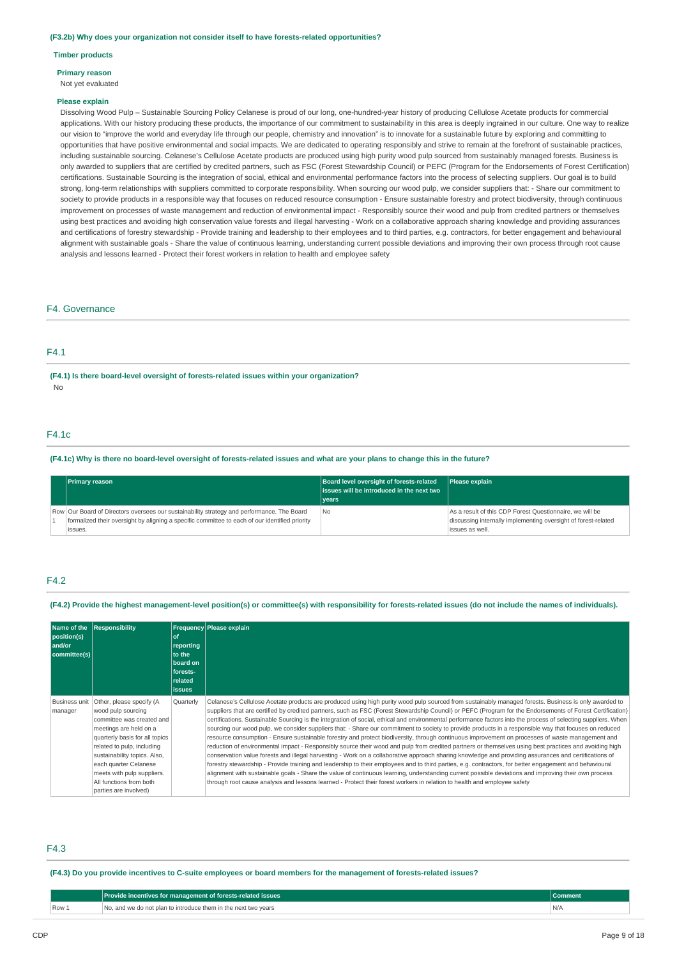**(F3.2b) Why does your organization not consider itself to have forests-related opportunities?**

#### **Timber products**

#### **Primary reason**

Not yet evaluated

#### **Please explain**

Dissolving Wood Pulp – Sustainable Sourcing Policy Celanese is proud of our long, one-hundred-year history of producing Cellulose Acetate products for commercial applications. With our history producing these products, the importance of our commitment to sustainability in this area is deeply ingrained in our culture. One way to realize our vision to "improve the world and everyday life through our people, chemistry and innovation" is to innovate for a sustainable future by exploring and committing to opportunities that have positive environmental and social impacts. We are dedicated to operating responsibly and strive to remain at the forefront of sustainable practices, including sustainable sourcing. Celanese's Cellulose Acetate products are produced using high purity wood pulp sourced from sustainably managed forests. Business is only awarded to suppliers that are certified by credited partners, such as FSC (Forest Stewardship Council) or PEFC (Program for the Endorsements of Forest Certification) certifications. Sustainable Sourcing is the integration of social, ethical and environmental performance factors into the process of selecting suppliers. Our goal is to build strong, long-term relationships with suppliers committed to corporate responsibility. When sourcing our wood pulp, we consider suppliers that: - Share our commitment to society to provide products in a responsible way that focuses on reduced resource consumption - Ensure sustainable forestry and protect biodiversity, through continuous improvement on processes of waste management and reduction of environmental impact - Responsibly source their wood and pulp from credited partners or themselves using best practices and avoiding high conservation value forests and illegal harvesting - Work on a collaborative approach sharing knowledge and providing assurances and certifications of forestry stewardship - Provide training and leadership to their employees and to third parties, e.g. contractors, for better engagement and behavioural alignment with sustainable goals - Share the value of continuous learning, understanding current possible deviations and improving their own process through root cause analysis and lessons learned - Protect their forest workers in relation to health and employee safety

### F4. Governance

### F4.1

**(F4.1) Is there board-level oversight of forests-related issues within your organization?** No

### F4.1c

### (F4.1c) Why is there no board-level oversight of forests-related issues and what are your plans to change this in the future?

| <b>Primary reason</b>                                                                                                                                                                                   | Board level oversight of forests-related<br>I issues will be introduced in the next two<br>vears | <b>Please explain</b>                                                                                                                         |
|---------------------------------------------------------------------------------------------------------------------------------------------------------------------------------------------------------|--------------------------------------------------------------------------------------------------|-----------------------------------------------------------------------------------------------------------------------------------------------|
| Row Our Board of Directors oversees our sustainability strategy and performance. The Board<br>formalized their oversight by aligning a specific committee to each of our identified priority<br>issues. | <b>No</b>                                                                                        | As a result of this CDP Forest Questionnaire, we will be<br>discussing internally implementing oversight of forest-related<br>issues as well. |

### F4.2

(F4.2) Provide the highest management-level position(s) or committee(s) with responsibility for forests-related issues (do not include the names of individuals).

| position(s)<br>and/or<br>committee(s) | Name of the Responsibility                                                                                                                                                                                                                                                                                       | οf<br>reporting<br>to the<br>board on<br>forests-<br>related<br><b>issues</b> | <b>Frequency Please explain</b>                                                                                                                                                                                                                                                                                                                                                                                                                                                                                                                                                                                                                                                                                                                                                                                                                                                                                                                                                                                                                                                                                                                                                                                                                                                                                                                                                                                                                                                                                                                                      |
|---------------------------------------|------------------------------------------------------------------------------------------------------------------------------------------------------------------------------------------------------------------------------------------------------------------------------------------------------------------|-------------------------------------------------------------------------------|----------------------------------------------------------------------------------------------------------------------------------------------------------------------------------------------------------------------------------------------------------------------------------------------------------------------------------------------------------------------------------------------------------------------------------------------------------------------------------------------------------------------------------------------------------------------------------------------------------------------------------------------------------------------------------------------------------------------------------------------------------------------------------------------------------------------------------------------------------------------------------------------------------------------------------------------------------------------------------------------------------------------------------------------------------------------------------------------------------------------------------------------------------------------------------------------------------------------------------------------------------------------------------------------------------------------------------------------------------------------------------------------------------------------------------------------------------------------------------------------------------------------------------------------------------------------|
| <b>Business unit</b><br>manager       | Other, please specify (A<br>wood pulp sourcing<br>committee was created and<br>meetings are held on a<br>quarterly basis for all topics<br>related to pulp, including<br>sustainability topics. Also,<br>each quarter Celanese<br>meets with pulp suppliers.<br>All functions from both<br>parties are involved) | Quarterly                                                                     | Celanese's Cellulose Acetate products are produced using high purity wood pulp sourced from sustainably managed forests. Business is only awarded to<br>suppliers that are certified by credited partners, such as FSC (Forest Stewardship Council) or PEFC (Program for the Endorsements of Forest Certification)<br>certifications. Sustainable Sourcing is the integration of social, ethical and environmental performance factors into the process of selecting suppliers. When<br>sourcing our wood pulp, we consider suppliers that: - Share our commitment to society to provide products in a responsible way that focuses on reduced<br>resource consumption - Ensure sustainable forestry and protect biodiversity, through continuous improvement on processes of waste management and<br>reduction of environmental impact - Responsibly source their wood and pulp from credited partners or themselves using best practices and avoiding high<br>conservation value forests and illegal harvesting - Work on a collaborative approach sharing knowledge and providing assurances and certifications of<br>forestry stewardship - Provide training and leadership to their employees and to third parties, e.g. contractors, for better engagement and behavioural<br>alignment with sustainable goals - Share the value of continuous learning, understanding current possible deviations and improving their own process<br>through root cause analysis and lessons learned - Protect their forest workers in relation to health and employee safety |

### F4.3

#### (F4.3) Do you provide incentives to C-suite employees or board members for the management of forests-related issues?

|       | Provide incentives for management of forests-related issues    | Comment |
|-------|----------------------------------------------------------------|---------|
| Row 1 | No, and we do not plan to introduce them in the next two vears | N/A     |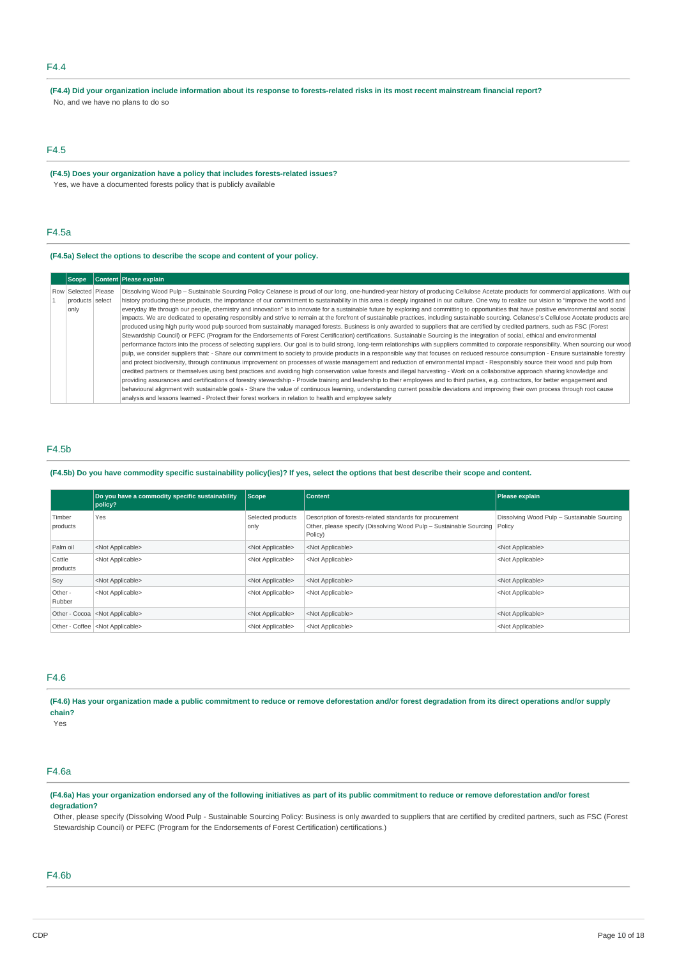# F4.4

(F4.4) Did your organization include information about its response to forests-related risks in its most recent mainstream financial report? No, and we have no plans to do so

### F4.5

**(F4.5) Does your organization have a policy that includes forests-related issues?** Yes, we have a documented forests policy that is publicly available

### F4.5a

### **(F4.5a) Select the options to describe the scope and content of your policy.**

| <b>Scope</b>                                   | Content Please explain                                                                                                                                                                                                                                                                                                                                                                                                                                                                                                                                                                                                                                                                                                                                                                                                                                                                                                                                                                                                                                                                                                                                                                                                                                                                                                                                                                                                                                                                                                                                                                                                                                                                                                                                                                                                                                                                                                                                                                                                                                                                                                                                                                                                                                                                                                                                                                                                          |
|------------------------------------------------|---------------------------------------------------------------------------------------------------------------------------------------------------------------------------------------------------------------------------------------------------------------------------------------------------------------------------------------------------------------------------------------------------------------------------------------------------------------------------------------------------------------------------------------------------------------------------------------------------------------------------------------------------------------------------------------------------------------------------------------------------------------------------------------------------------------------------------------------------------------------------------------------------------------------------------------------------------------------------------------------------------------------------------------------------------------------------------------------------------------------------------------------------------------------------------------------------------------------------------------------------------------------------------------------------------------------------------------------------------------------------------------------------------------------------------------------------------------------------------------------------------------------------------------------------------------------------------------------------------------------------------------------------------------------------------------------------------------------------------------------------------------------------------------------------------------------------------------------------------------------------------------------------------------------------------------------------------------------------------------------------------------------------------------------------------------------------------------------------------------------------------------------------------------------------------------------------------------------------------------------------------------------------------------------------------------------------------------------------------------------------------------------------------------------------------|
| Row Selected Please<br>products select<br>only | Dissolving Wood Pulp - Sustainable Sourcing Policy Celanese is proud of our long, one-hundred-year history of producing Cellulose Acetate products for commercial applications. With our<br>history producing these products, the importance of our commitment to sustainability in this area is deeply ingrained in our culture. One way to realize our vision to "improve the world and<br>everyday life through our people, chemistry and innovation" is to innovate for a sustainable future by exploring and committing to opportunities that have positive environmental and social<br>impacts. We are dedicated to operating responsibly and strive to remain at the forefront of sustainable practices, including sustainable sourcing. Celanese's Cellulose Acetate products are<br>produced using high purity wood pulp sourced from sustainably managed forests. Business is only awarded to suppliers that are certified by credited partners, such as FSC (Forest<br>Stewardship Council) or PEFC (Program for the Endorsements of Forest Certification) certifications. Sustainable Sourcing is the integration of social, ethical and environmental<br>performance factors into the process of selecting suppliers. Our goal is to build strong, long-term relationships with suppliers committed to corporate responsibility. When sourcing our wood<br>pulp, we consider suppliers that: - Share our commitment to society to provide products in a responsible way that focuses on reduced resource consumption - Ensure sustainable forestry<br>and protect biodiversity, through continuous improvement on processes of waste management and reduction of environmental impact - Responsibly source their wood and pulp from<br>credited partners or themselves using best practices and avoiding high conservation value forests and illegal harvesting - Work on a collaborative approach sharing knowledge and<br>providing assurances and certifications of forestry stewardship - Provide training and leadership to their employees and to third parties, e.g. contractors, for better engagement and<br>behavioural alignment with sustainable goals - Share the value of continuous learning, understanding current possible deviations and improving their own process through root cause<br>analysis and lessons learned - Protect their forest workers in relation to health and employee safety |

### F4.5b

### (F4.5b) Do you have commodity specific sustainability policy(ies)? If yes, select the options that best describe their scope and content.

|                    | Do you have a commodity specific sustainability<br>policy? | Scope                     | <b>Content</b>                                                                                                                                   | Please explain                              |
|--------------------|------------------------------------------------------------|---------------------------|--------------------------------------------------------------------------------------------------------------------------------------------------|---------------------------------------------|
| Timber<br>products | Yes                                                        | Selected products<br>only | Description of forests-related standards for procurement<br>Other, please specify (Dissolving Wood Pulp - Sustainable Sourcing Policy<br>Policy) | Dissolving Wood Pulp - Sustainable Sourcing |
| Palm oil           | <not applicable=""></not>                                  | <not applicable=""></not> | <not applicable=""></not>                                                                                                                        | <not applicable=""></not>                   |
| Cattle<br>products | <not applicable=""></not>                                  | <not applicable=""></not> | <not applicable=""></not>                                                                                                                        | <not applicable=""></not>                   |
| Soy                | <not applicable=""></not>                                  | <not applicable=""></not> | <not applicable=""></not>                                                                                                                        | <not applicable=""></not>                   |
| Other -<br>Rubber  | <not applicable=""></not>                                  | <not applicable=""></not> | <not applicable=""></not>                                                                                                                        | <not applicable=""></not>                   |
|                    | Other - Cocoa <not applicable=""></not>                    | <not applicable=""></not> | <not applicable=""></not>                                                                                                                        | <not applicable=""></not>                   |
|                    | Other - Coffee <not applicable=""></not>                   | <not applicable=""></not> | <not applicable=""></not>                                                                                                                        | <not applicable=""></not>                   |

# F4.6

(F4.6) Has your organization made a public commitment to reduce or remove deforestation and/or forest degradation from its direct operations and/or supply **chain?**

Yes

# F4.6a

### (F4.6a) Has your organization endorsed any of the following initiatives as part of its public commitment to reduce or remove deforestation and/or forest **degradation?**

Other, please specify (Dissolving Wood Pulp - Sustainable Sourcing Policy: Business is only awarded to suppliers that are certified by credited partners, such as FSC (Forest Stewardship Council) or PEFC (Program for the Endorsements of Forest Certification) certifications.)

### F4.6b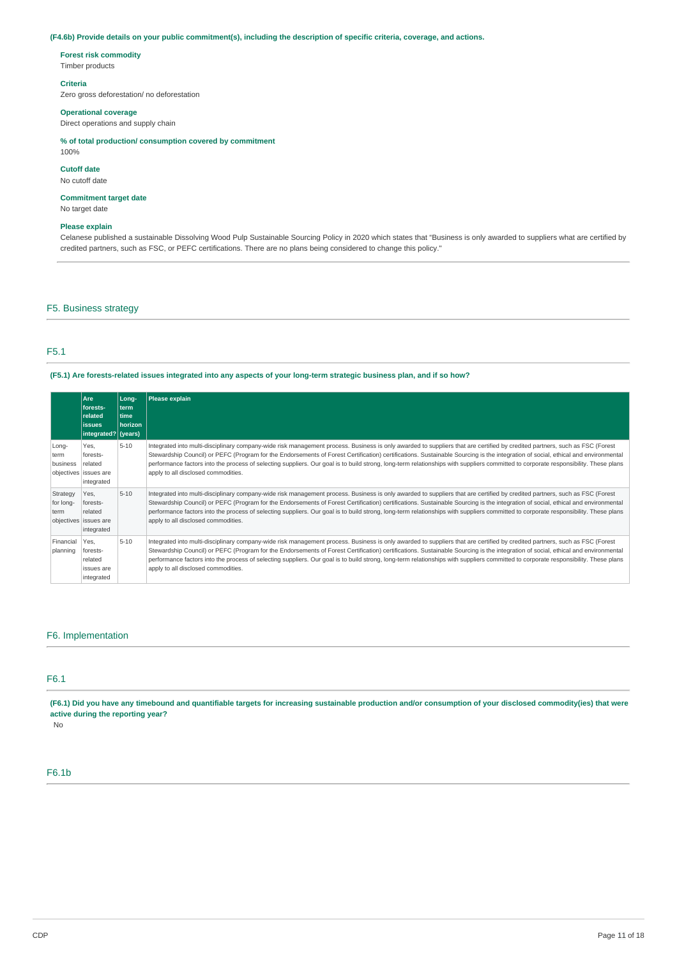### (F4.6b) Provide details on your public commitment(s), including the description of specific criteria, coverage, and actions.

### **Forest risk commodity**

Timber products

### **Criteria**

Zero gross deforestation/ no deforestation

#### **Operational coverage**

Direct operations and supply chain

### **% of total production/ consumption covered by commitment**

100%

### **Cutoff date**

No cutoff date

### **Commitment target date**

No target date

### **Please explain**

Celanese published a sustainable Dissolving Wood Pulp Sustainable Sourcing Policy in 2020 which states that "Business is only awarded to suppliers what are certified by credited partners, such as FSC, or PEFC certifications. There are no plans being considered to change this policy."

### F5. Business strategy

### F5.1

### (F5.1) Are forests-related issues integrated into any aspects of your long-term strategic business plan, and if so how?

|                               | Are<br>forests-<br>related<br><b>issues</b><br>integrated? (years) | Long-<br>l term<br>time<br>horizon | Please explain                                                                                                                                                                                                                                                                                                                                                                                                                                                                                                                                                                                |
|-------------------------------|--------------------------------------------------------------------|------------------------------------|-----------------------------------------------------------------------------------------------------------------------------------------------------------------------------------------------------------------------------------------------------------------------------------------------------------------------------------------------------------------------------------------------------------------------------------------------------------------------------------------------------------------------------------------------------------------------------------------------|
| Long-<br>term<br>business     | Yes.<br>forests-<br>related<br>objectives issues are<br>integrated | $5 - 10$                           | Integrated into multi-disciplinary company-wide risk management process. Business is only awarded to suppliers that are certified by credited partners, such as FSC (Forest<br>Stewardship Council) or PEFC (Program for the Endorsements of Forest Certification) certifications. Sustainable Sourcing is the integration of social, ethical and environmental<br>performance factors into the process of selecting suppliers. Our goal is to build strong, long-term relationships with suppliers committed to corporate responsibility. These plans<br>apply to all disclosed commodities. |
| Strategy<br>for long-<br>term | Yes.<br>forests-<br>related<br>objectives issues are<br>integrated | $5 - 10$                           | Integrated into multi-disciplinary company-wide risk management process. Business is only awarded to suppliers that are certified by credited partners, such as FSC (Forest<br>Stewardship Council) or PEFC (Program for the Endorsements of Forest Certification) certifications. Sustainable Sourcing is the integration of social, ethical and environmental<br>performance factors into the process of selecting suppliers. Our goal is to build strong, long-term relationships with suppliers committed to corporate responsibility. These plans<br>apply to all disclosed commodities. |
| Financial<br>planning         | Yes.<br>forests-<br>related<br>issues are<br>integrated            | $5 - 10$                           | Integrated into multi-disciplinary company-wide risk management process. Business is only awarded to suppliers that are certified by credited partners, such as FSC (Forest<br>Stewardship Council) or PEFC (Program for the Endorsements of Forest Certification) certifications. Sustainable Sourcing is the integration of social, ethical and environmental<br>performance factors into the process of selecting suppliers. Our goal is to build strong, long-term relationships with suppliers committed to corporate responsibility. These plans<br>apply to all disclosed commodities. |

### F6. Implementation

### F6.1

(F6.1) Did you have any timebound and quantifiable targets for increasing sustainable production and/or consumption of your disclosed commodity(ies) that were **active during the reporting year?**

No

### F6.1b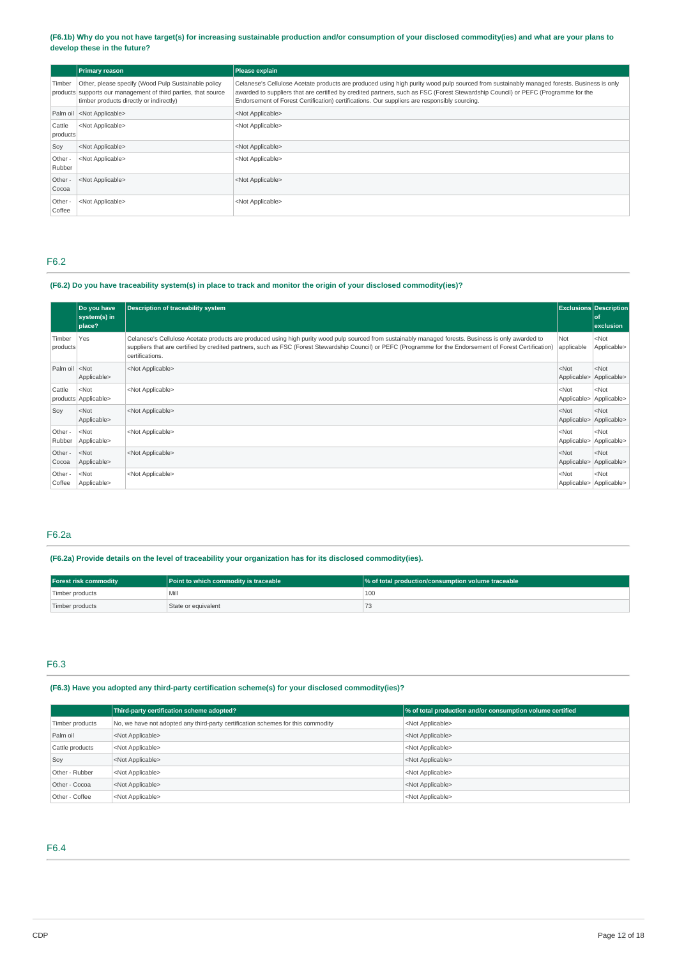(F6.1b) Why do you not have target(s) for increasing sustainable production and/or consumption of your disclosed commodity(ies) and what are your plans to **develop these in the future?**

|                    | <b>Primary reason</b>                                                                                                                                            | Please explain                                                                                                                                                                                                                                                                                                                                                                 |
|--------------------|------------------------------------------------------------------------------------------------------------------------------------------------------------------|--------------------------------------------------------------------------------------------------------------------------------------------------------------------------------------------------------------------------------------------------------------------------------------------------------------------------------------------------------------------------------|
| Timber             | Other, please specify (Wood Pulp Sustainable policy<br>products supports our management of third parties, that source<br>timber products directly or indirectly) | Celanese's Cellulose Acetate products are produced using high purity wood pulp sourced from sustainably managed forests. Business is only<br>awarded to suppliers that are certified by credited partners, such as FSC (Forest Stewardship Council) or PEFC (Programme for the<br>Endorsement of Forest Certification) certifications. Our suppliers are responsibly sourcing. |
|                    | Palm oil <not applicable=""></not>                                                                                                                               | <not applicable=""></not>                                                                                                                                                                                                                                                                                                                                                      |
| Cattle<br>products | <not applicable=""></not>                                                                                                                                        | <not applicable=""></not>                                                                                                                                                                                                                                                                                                                                                      |
| Soy                | <not applicable=""></not>                                                                                                                                        | <not applicable=""></not>                                                                                                                                                                                                                                                                                                                                                      |
| Other -<br>Rubber  | <not applicable=""></not>                                                                                                                                        | <not applicable=""></not>                                                                                                                                                                                                                                                                                                                                                      |
| Other -<br>Cocoa   | <not applicable=""></not>                                                                                                                                        | <not applicable=""></not>                                                                                                                                                                                                                                                                                                                                                      |
| Other -<br>Coffee  | <not applicable=""></not>                                                                                                                                        | <not applicable=""></not>                                                                                                                                                                                                                                                                                                                                                      |

# F6.2

# (F6.2) Do you have traceability system(s) in place to track and monitor the origin of your disclosed commodity(ies)?

|                                                                                                                                                                                        | Do you have<br>system(s) in<br>place? | <b>Description of traceability system</b>                                                                                                                                                                                                                                                                                              |                        | <b>Exclusions Description</b><br>of<br>exclusion |
|----------------------------------------------------------------------------------------------------------------------------------------------------------------------------------------|---------------------------------------|----------------------------------------------------------------------------------------------------------------------------------------------------------------------------------------------------------------------------------------------------------------------------------------------------------------------------------------|------------------------|--------------------------------------------------|
| Timber<br>products                                                                                                                                                                     | Yes                                   | Celanese's Cellulose Acetate products are produced using high purity wood pulp sourced from sustainably managed forests. Business is only awarded to<br>suppliers that are certified by credited partners, such as FSC (Forest Stewardship Council) or PEFC (Programme for the Endorsement of Forest Certification)<br>certifications. | Not<br>applicable      | $<$ Not<br>Applicable>                           |
| Palm oil <not< td=""><td>Applicable&gt;</td><td><not applicable=""></not></td><td><math>&lt;</math>Not<br/>Applicable&gt;</td><td><math>&lt;</math> Not<br/>Applicable&gt;</td></not<> | Applicable>                           | <not applicable=""></not>                                                                                                                                                                                                                                                                                                              | $<$ Not<br>Applicable> | $<$ Not<br>Applicable>                           |
| Cattle                                                                                                                                                                                 | $<$ Not<br>products Applicable>       | <not applicable=""></not>                                                                                                                                                                                                                                                                                                              | $<$ Not<br>Applicable> | $<$ Not<br>Applicable>                           |
| Soy                                                                                                                                                                                    | $<$ Not<br>Applicable>                | <not applicable=""></not>                                                                                                                                                                                                                                                                                                              | $<$ Not<br>Applicable> | $<$ Not<br>Applicable>                           |
| Other -<br>Rubber                                                                                                                                                                      | $<$ Not<br>Applicable>                | <not applicable=""></not>                                                                                                                                                                                                                                                                                                              | $<$ Not<br>Applicable> | $<$ Not<br>Applicable>                           |
| Other -<br>Cocoa                                                                                                                                                                       | $<$ Not<br>Applicable>                | <not applicable=""></not>                                                                                                                                                                                                                                                                                                              | $<$ Not<br>Applicable> | $<$ Not<br>Applicable>                           |
| Other -<br>Coffee                                                                                                                                                                      | $<$ Not<br>Applicable>                | <not applicable=""></not>                                                                                                                                                                                                                                                                                                              | $<$ Not                | $<$ Not<br>Applicable>   Applicable>             |

# F6.2a

### **(F6.2a) Provide details on the level of traceability your organization has for its disclosed commodity(ies).**

| <b>Forest risk commodity</b> | <b>Point to which commodity is traceable</b> | % of total production/consumption volume traceable |
|------------------------------|----------------------------------------------|----------------------------------------------------|
| Timber products              | Mill                                         | 100                                                |
| Timber products              | State or equivalent                          |                                                    |

### F6.3

# **(F6.3) Have you adopted any third-party certification scheme(s) for your disclosed commodity(ies)?**

|                 | Third-party certification scheme adopted?                                        | % of total production and/or consumption volume certified |
|-----------------|----------------------------------------------------------------------------------|-----------------------------------------------------------|
| Timber products | No, we have not adopted any third-party certification schemes for this commodity | <not applicable=""></not>                                 |
| Palm oil        | <not applicable=""></not>                                                        | <not applicable=""></not>                                 |
| Cattle products | <not applicable=""></not>                                                        | <not applicable=""></not>                                 |
| Soy             | <not applicable=""></not>                                                        | <not applicable=""></not>                                 |
| Other - Rubber  | <not applicable=""></not>                                                        | <not applicable=""></not>                                 |
| Other - Cocoa   | <not applicable=""></not>                                                        | <not applicable=""></not>                                 |
| Other - Coffee  | <not applicable=""></not>                                                        | <not applicable=""></not>                                 |

F6.4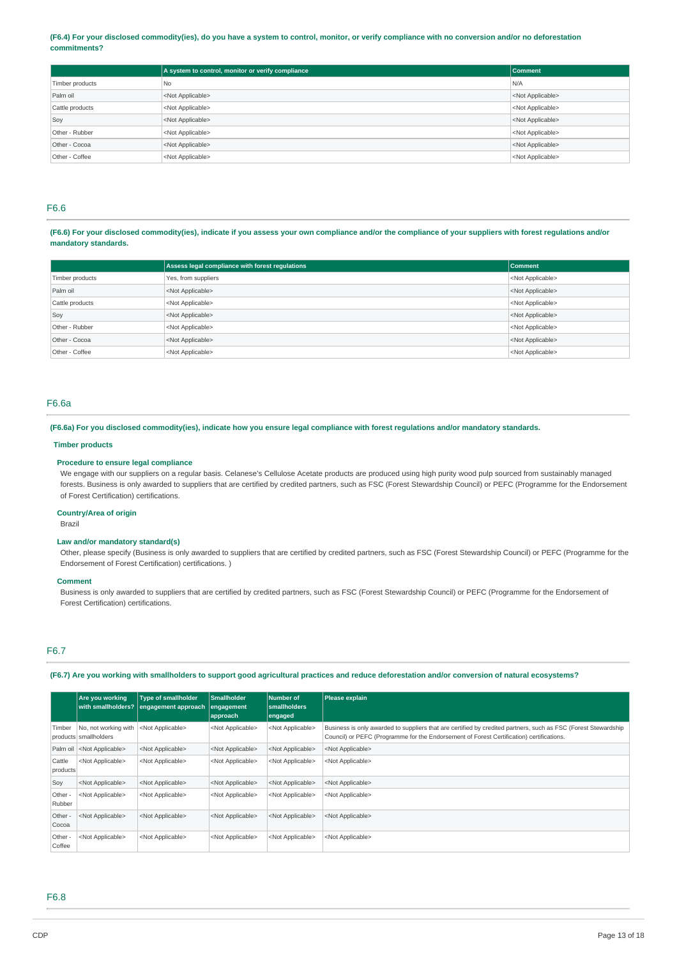### (F6.4) For your disclosed commodity(ies), do you have a system to control, monitor, or verify compliance with no conversion and/or no deforestation **commitments?**

|                 | A system to control, monitor or verify compliance | <b>Comment</b>            |
|-----------------|---------------------------------------------------|---------------------------|
| Timber products | N <sub>0</sub>                                    | N/A                       |
| Palm oil        | <not applicable=""></not>                         | <not applicable=""></not> |
| Cattle products | <not applicable=""></not>                         | <not applicable=""></not> |
| Soy             | <not applicable=""></not>                         | <not applicable=""></not> |
| Other - Rubber  | <not applicable=""></not>                         | <not applicable=""></not> |
| Other - Cocoa   | <not applicable=""></not>                         | <not applicable=""></not> |
| Other - Coffee  | <not applicable=""></not>                         | <not applicable=""></not> |

### F6.6

### (F6.6) For your disclosed commodity(ies), indicate if you assess your own compliance and/or the compliance of your suppliers with forest regulations and/or **mandatory standards.**

|                 | Assess legal compliance with forest regulations | Comment                   |
|-----------------|-------------------------------------------------|---------------------------|
| Timber products | Yes, from suppliers                             | <not applicable=""></not> |
| Palm oil        | <not applicable=""></not>                       | <not applicable=""></not> |
| Cattle products | <not applicable=""></not>                       | <not applicable=""></not> |
| Soy             | <not applicable=""></not>                       | <not applicable=""></not> |
| Other - Rubber  | <not applicable=""></not>                       | <not applicable=""></not> |
| Other - Cocoa   | <not applicable=""></not>                       | <not applicable=""></not> |
| Other - Coffee  | <not applicable=""></not>                       | <not applicable=""></not> |

### F6.6a

### (F6.6a) For you disclosed commodity(ies), indicate how you ensure legal compliance with forest regulations and/or mandatory standards.

### **Timber products**

### **Procedure to ensure legal compliance**

We engage with our suppliers on a regular basis. Celanese's Cellulose Acetate products are produced using high purity wood pulp sourced from sustainably managed forests. Business is only awarded to suppliers that are certified by credited partners, such as FSC (Forest Stewardship Council) or PEFC (Programme for the Endorsement of Forest Certification) certifications.

### **Country/Area of origin**

Brazil

### **Law and/or mandatory standard(s)**

Other, please specify (Business is only awarded to suppliers that are certified by credited partners, such as FSC (Forest Stewardship Council) or PEFC (Programme for the Endorsement of Forest Certification) certifications. )

#### **Comment**

Business is only awarded to suppliers that are certified by credited partners, such as FSC (Forest Stewardship Council) or PEFC (Programme for the Endorsement of Forest Certification) certifications.

### F6.7

### (F6.7) Are you working with smallholders to support good agricultural practices and reduce deforestation and/or conversion of natural ecosystems?

|                    | Are vou workina                               | <b>Type of smallholder</b><br>with smallholders? engagement approach | <b>Smallholder</b><br>engagement<br>approach | <b>Number of</b><br><b>smallholders</b><br>engaged | Please explain                                                                                                                                                                                             |
|--------------------|-----------------------------------------------|----------------------------------------------------------------------|----------------------------------------------|----------------------------------------------------|------------------------------------------------------------------------------------------------------------------------------------------------------------------------------------------------------------|
| Timber             | No. not working with<br>products smallholders | <not applicable=""></not>                                            | <not applicable=""></not>                    | <not applicable=""></not>                          | Business is only awarded to suppliers that are certified by credited partners, such as FSC (Forest Stewardship<br>Council) or PEFC (Programme for the Endorsement of Forest Certification) certifications. |
|                    | Palm oil <not applicable=""></not>            | <not applicable=""></not>                                            | <not applicable=""></not>                    | <not applicable=""></not>                          | <not applicable=""></not>                                                                                                                                                                                  |
| Cattle<br>products | <not applicable=""></not>                     | <not applicable=""></not>                                            | <not applicable=""></not>                    | <not applicable=""></not>                          | <not applicable=""></not>                                                                                                                                                                                  |
| Soy                | <not applicable=""></not>                     | <not applicable=""></not>                                            | <not applicable=""></not>                    | <not applicable=""></not>                          | <not applicable=""></not>                                                                                                                                                                                  |
| Other -<br>Rubber  | <not applicable=""></not>                     | <not applicable=""></not>                                            | <not applicable=""></not>                    | <not applicable=""></not>                          | <not applicable=""></not>                                                                                                                                                                                  |
| Other -<br>Cocoa   | <not applicable=""></not>                     | <not applicable=""></not>                                            | <not applicable=""></not>                    | <not applicable=""></not>                          | <not applicable=""></not>                                                                                                                                                                                  |
| Other -<br>Coffee  | <not applicable=""></not>                     | <not applicable=""></not>                                            | <not applicable=""></not>                    | <not applicable=""></not>                          | <not applicable=""></not>                                                                                                                                                                                  |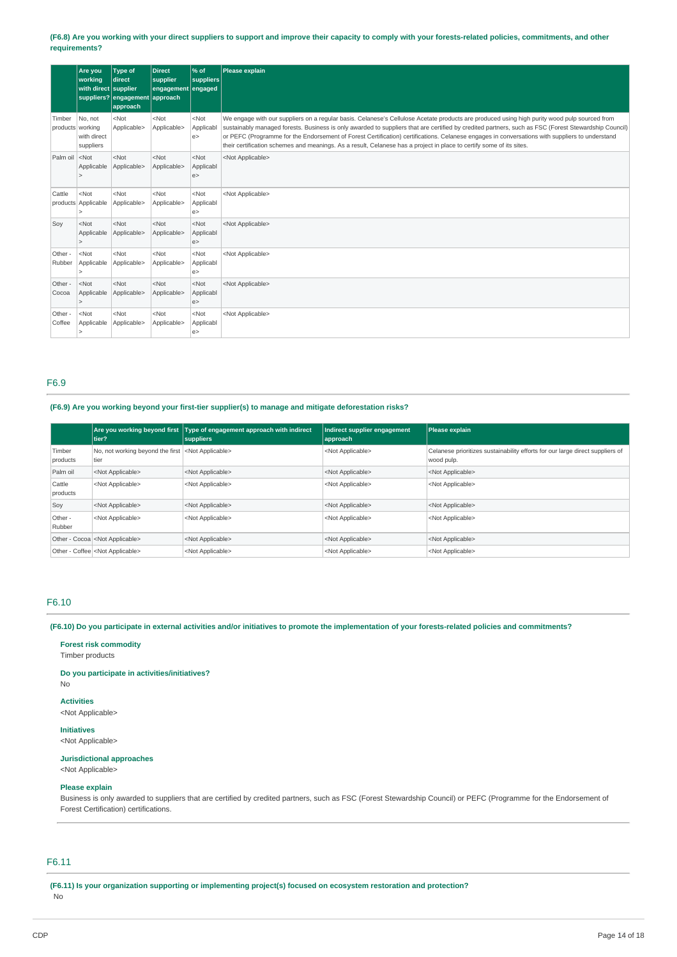### (F6.8) Are you working with your direct suppliers to support and improve their capacity to comply with your forests-related policies, commitments, and other **requirements?**

|                                                                                                                                                                                                                                         | Are you<br>workina<br>with direct supplier | <b>Type of</b><br>direct<br>suppliers? engagement approach<br>approach | <b>Direct</b><br>supplier<br>engagement engaged | $%$ of<br>suppliers         | Please explain                                                                                                                                                                                                                                                                                                                                                                                                                                                                                                                                                                 |
|-----------------------------------------------------------------------------------------------------------------------------------------------------------------------------------------------------------------------------------------|--------------------------------------------|------------------------------------------------------------------------|-------------------------------------------------|-----------------------------|--------------------------------------------------------------------------------------------------------------------------------------------------------------------------------------------------------------------------------------------------------------------------------------------------------------------------------------------------------------------------------------------------------------------------------------------------------------------------------------------------------------------------------------------------------------------------------|
| Timber<br>products working                                                                                                                                                                                                              | No. not<br>with direct<br>suppliers        | $<$ Not<br>Applicable>                                                 | $<$ Not<br>Applicable>                          | $<$ Not<br>Applicabl<br>e   | We engage with our suppliers on a regular basis. Celanese's Cellulose Acetate products are produced using high purity wood pulp sourced from<br>sustainably managed forests. Business is only awarded to suppliers that are certified by credited partners, such as FSC (Forest Stewardship Council)<br>or PEFC (Programme for the Endorsement of Forest Certification) certifications. Celanese engages in conversations with suppliers to understand<br>their certification schemes and meanings. As a result, Celanese has a project in place to certify some of its sites. |
| Palm oil <not< td=""><td>Applicable</td><td><math>&lt;</math>Not<br/>Applicable&gt;</td><td><math>&lt;</math>Not<br/>Applicable&gt;</td><td><math>&lt;</math>Not<br/>Applicabl<br/>e &gt;</td><td><not applicable=""></not></td></not<> | Applicable                                 | $<$ Not<br>Applicable>                                                 | $<$ Not<br>Applicable>                          | $<$ Not<br>Applicabl<br>e > | <not applicable=""></not>                                                                                                                                                                                                                                                                                                                                                                                                                                                                                                                                                      |
| Cattle                                                                                                                                                                                                                                  | $<$ Not<br>products Applicable             | $<$ Not<br>Applicable>                                                 | $<$ Not<br>Applicable>                          | $<$ Not<br>Applicabl<br>e   | <not applicable=""></not>                                                                                                                                                                                                                                                                                                                                                                                                                                                                                                                                                      |
| Soy                                                                                                                                                                                                                                     | $<$ Not<br>Applicable                      | $<$ Not<br>Applicable>                                                 | $<$ Not<br>Applicable>                          | $<$ Not<br>Applicabl<br>e > | <not applicable=""></not>                                                                                                                                                                                                                                                                                                                                                                                                                                                                                                                                                      |
| Other -<br>Rubber                                                                                                                                                                                                                       | $<$ Not<br>Applicable                      | $<$ Not<br>Applicable>                                                 | $<$ Not<br>Applicable>                          | $<$ Not<br>Applicabl<br>e   | <not applicable=""></not>                                                                                                                                                                                                                                                                                                                                                                                                                                                                                                                                                      |
| Other -<br>Cocoa                                                                                                                                                                                                                        | $<$ Not<br>Applicable                      | $<$ Not<br>Applicable>                                                 | $<$ Not<br>Applicable>                          | $<$ Not<br>Applicabl<br>e   | <not applicable=""></not>                                                                                                                                                                                                                                                                                                                                                                                                                                                                                                                                                      |
| Other -<br>Coffee                                                                                                                                                                                                                       | $<$ Not<br>Applicable                      | $<$ Not<br>Applicable>                                                 | $<$ Not<br>Applicable>                          | $<$ Not<br>Applicabl<br>e   | <not applicable=""></not>                                                                                                                                                                                                                                                                                                                                                                                                                                                                                                                                                      |

# F6.9

# **(F6.9) Are you working beyond your first-tier supplier(s) to manage and mitigate deforestation risks?**

|                    | tier?                                                               | Are you working beyond first Type of engagement approach with indirect<br>suppliers | Indirect supplier engagement<br>approach | Please explain                                                                              |
|--------------------|---------------------------------------------------------------------|-------------------------------------------------------------------------------------|------------------------------------------|---------------------------------------------------------------------------------------------|
| Timber<br>products | No, not working beyond the first <not applicable=""><br/>tier</not> |                                                                                     | <not applicable=""></not>                | Celanese prioritizes sustainability efforts for our large direct suppliers of<br>wood pulp. |
| Palm oil           | <not applicable=""></not>                                           | <not applicable=""></not>                                                           | <not applicable=""></not>                | <not applicable=""></not>                                                                   |
| Cattle<br>products | <not applicable=""></not>                                           | <not applicable=""></not>                                                           | <not applicable=""></not>                | <not applicable=""></not>                                                                   |
| Soy                | <not applicable=""></not>                                           | <not applicable=""></not>                                                           | <not applicable=""></not>                | <not applicable=""></not>                                                                   |
| Other -<br>Rubber  | <not applicable=""></not>                                           | <not applicable=""></not>                                                           | <not applicable=""></not>                | <not applicable=""></not>                                                                   |
|                    | Other - Cocoa <not applicable=""></not>                             | <not applicable=""></not>                                                           | <not applicable=""></not>                | <not applicable=""></not>                                                                   |
|                    | Other - Coffee <not applicable=""></not>                            | <not applicable=""></not>                                                           | <not applicable=""></not>                | <not applicable=""></not>                                                                   |

### F6.10

(F6.10) Do you participate in external activities and/or initiatives to promote the implementation of your forests-related policies and commitments?

### **Forest risk commodity**

Timber products

**Do you participate in activities/initiatives?**

# **Activities**

No

<Not Applicable>

### **Initiatives**

<Not Applicable>

### **Jurisdictional approaches** <Not Applicable>

# **Please explain**

Business is only awarded to suppliers that are certified by credited partners, such as FSC (Forest Stewardship Council) or PEFC (Programme for the Endorsement of Forest Certification) certifications.

### F6.11

**(F6.11) Is your organization supporting or implementing project(s) focused on ecosystem restoration and protection?** No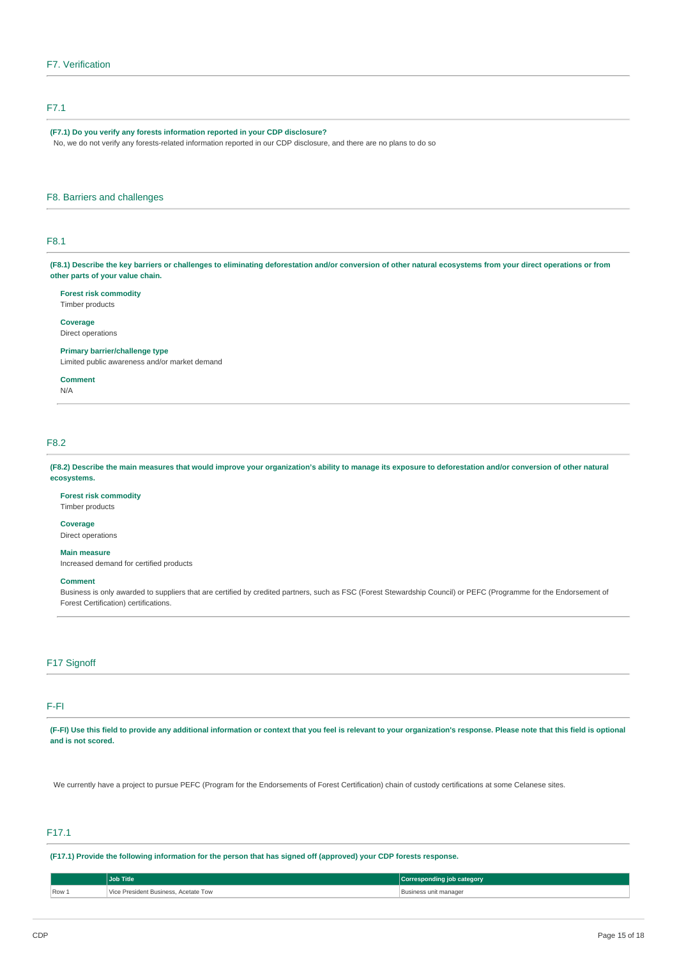# F7.1

### **(F7.1) Do you verify any forests information reported in your CDP disclosure?**

No, we do not verify any forests-related information reported in our CDP disclosure, and there are no plans to do so

### F8. Barriers and challenges

# F8.1

(F8.1) Describe the key barriers or challenges to eliminating deforestation and/or conversion of other natural ecosystems from your direct operations or from **other parts of your value chain.**

### **Forest risk commodity**

Timber products

# **Coverage**

Direct operations

### **Primary barrier/challenge type**

Limited public awareness and/or market demand

**Comment** N/A

### F8.2

(F8.2) Describe the main measures that would improve your organization's ability to manage its exposure to deforestation and/or conversion of other natural **ecosystems.**

### **Forest risk commodity**

Timber products

### **Coverage**

Direct operations

# **Main measure**

Increased demand for certified products

#### **Comment**

Business is only awarded to suppliers that are certified by credited partners, such as FSC (Forest Stewardship Council) or PEFC (Programme for the Endorsement of Forest Certification) certifications.

### F17 Signoff

# F-FI

(F-FI) Use this field to provide any additional information or context that you feel is relevant to your organization's response. Please note that this field is optional **and is not scored.**

We currently have a project to pursue PEFC (Program for the Endorsements of Forest Certification) chain of custody certifications at some Celanese sites.

# F17.1

(F17.1) Provide the following information for the person that has signed off (approved) your CDP forests response.

|       | <b>Job Title</b>                     | Corresponding job category |
|-------|--------------------------------------|----------------------------|
| Row 1 | Vice President Business, Acetate Tow | Business unit manager      |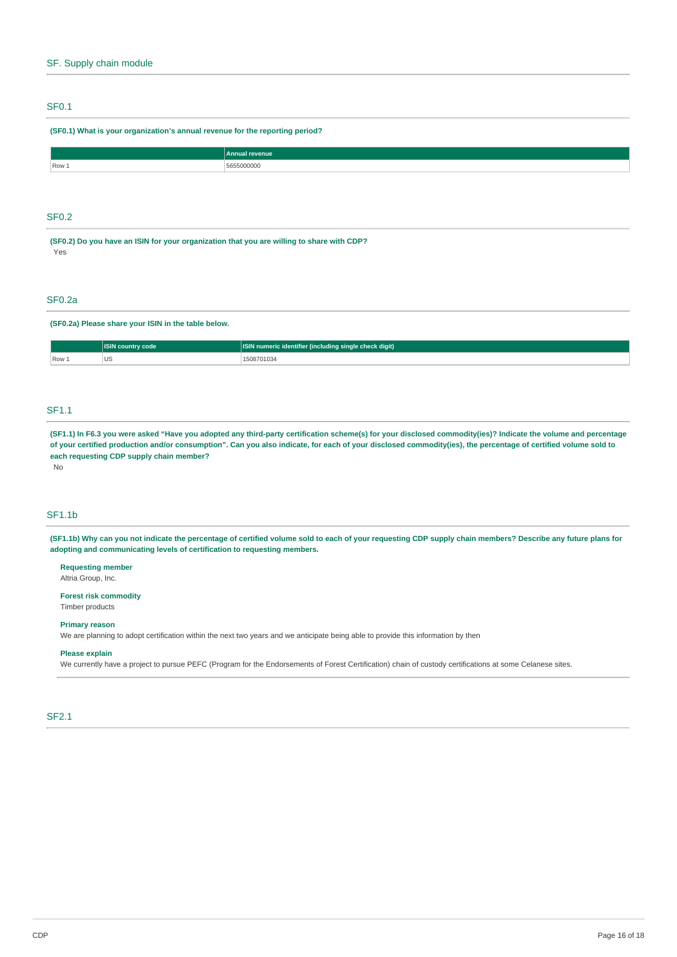# SF0.1

### **(SF0.1) What is your organization's annual revenue for the reporting period?**

|       | <b>Annual revenue</b> |
|-------|-----------------------|
| Row 1 |                       |
|       |                       |

# SF0.2

**(SF0.2) Do you have an ISIN for your organization that you are willing to share with CDP?** Yes

### SF0.2a

**(SF0.2a) Please share your ISIN in the table below.**

|       | code      | r (including single check digit)<br><b>ICIN</b><br>numeric identifier |  |
|-------|-----------|-----------------------------------------------------------------------|--|
| Row 1 | UJ<br>. . | 103<br>.                                                              |  |

# SF1.1

(SF1.1) In F6.3 you were asked "Have you adopted any third-party certification scheme(s) for your disclosed commodity(ies)? Indicate the volume and percentage of your certified production and/or consumption". Can you also indicate, for each of your disclosed commodity(ies), the percentage of certified volume sold to **each requesting CDP supply chain member?**

#### No

# SF1.1b

(SF1.1b) Why can you not indicate the percentage of certified volume sold to each of your requesting CDP supply chain members? Describe any future plans for **adopting and communicating levels of certification to requesting members.**

**Requesting member** Altria Group, Inc.

**Forest risk commodity** Timber products

### **Primary reason**

We are planning to adopt certification within the next two years and we anticipate being able to provide this information by then

### **Please explain**

We currently have a project to pursue PEFC (Program for the Endorsements of Forest Certification) chain of custody certifications at some Celanese sites.

# SF2.1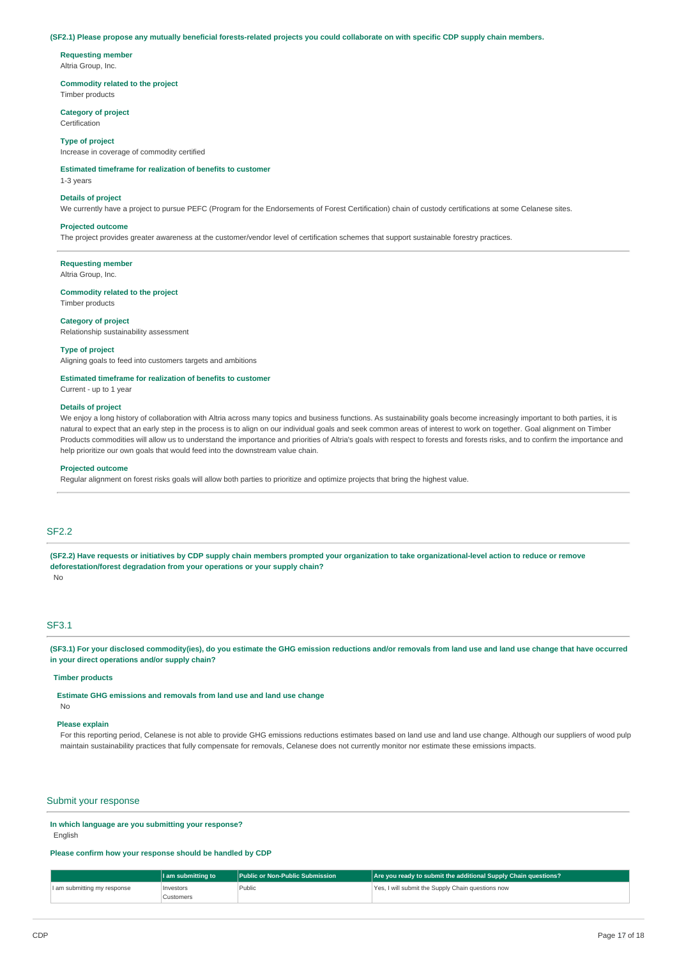#### (SF2.1) Please propose any mutually beneficial forests-related projects you could collaborate on with specific CDP supply chain members.

**Requesting member**

Altria Group, Inc.

**Commodity related to the project**

Timber products

**Category of project** Certification

#### **Type of project**

Increase in coverage of commodity certified

### **Estimated timeframe for realization of benefits to customer**

1-3 years

#### **Details of project**

We currently have a project to pursue PEFC (Program for the Endorsements of Forest Certification) chain of custody certifications at some Celanese sites.

#### **Projected outcome**

The project provides greater awareness at the customer/vendor level of certification schemes that support sustainable forestry practices.

**Requesting member**

Altria Group, Inc.

### **Commodity related to the project**

Timber products

#### **Category of project**

Relationship sustainability assessment

#### **Type of project**

Aligning goals to feed into customers targets and ambitions

#### **Estimated timeframe for realization of benefits to customer**

Current - up to 1 year

#### **Details of project**

We enjoy a long history of collaboration with Altria across many topics and business functions. As sustainability goals become increasingly important to both parties, it is natural to expect that an early step in the process is to align on our individual goals and seek common areas of interest to work on together. Goal alignment on Timber Products commodities will allow us to understand the importance and priorities of Altria's goals with respect to forests and forests risks, and to confirm the importance and help prioritize our own goals that would feed into the downstream value chain.

#### **Projected outcome**

Regular alignment on forest risks goals will allow both parties to prioritize and optimize projects that bring the highest value.

### SF2.2

(SF2.2) Have requests or initiatives by CDP supply chain members prompted your organization to take organizational-level action to reduce or remove **deforestation/forest degradation from your operations or your supply chain?** No

# SF3.1

(SF3.1) For your disclosed commodity(ies), do you estimate the GHG emission reductions and/or removals from land use and land use change that have occurred **in your direct operations and/or supply chain?**

### **Timber products**

**Estimate GHG emissions and removals from land use and land use change**

#### No

### **Please explain**

For this reporting period, Celanese is not able to provide GHG emissions reductions estimates based on land use and land use change. Although our suppliers of wood pulp maintain sustainability practices that fully compensate for removals, Celanese does not currently monitor nor estimate these emissions impacts.

### Submit your response

### **In which language are you submitting your response?**

**English** 

### **Please confirm how your response should be handled by CDP**

|                             | 11 am submitting to A | <b>Public or Non-Public Submission</b> | Are you ready to submit the additional Supply Chain questions? |
|-----------------------------|-----------------------|----------------------------------------|----------------------------------------------------------------|
| I am submitting my response | Investors             | Public                                 | Yes, I will submit the Supply Chain questions now              |
|                             | Customers             |                                        |                                                                |